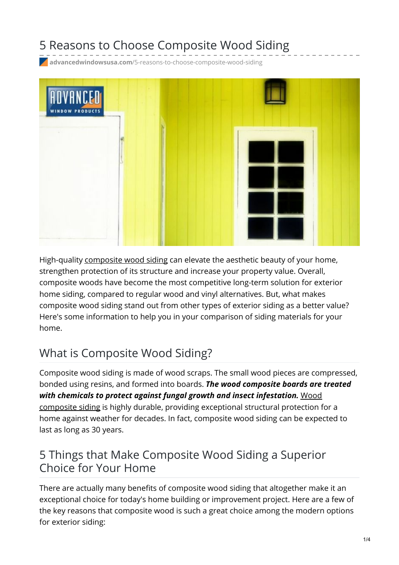# 5 Reasons to Choose Composite Wood Siding

**advancedwindowsusa.com**[/5-reasons-to-choose-composite-wood-siding](https://advancedwindowsusa.com/5-reasons-to-choose-composite-wood-siding)



High-quality [composite](https://advancedwindowsusa.com/) wood siding can elevate the aesthetic beauty of your home, strengthen protection of its structure and increase your property value. Overall, composite woods have become the most competitive long-term solution for exterior home siding, compared to regular wood and vinyl alternatives. But, what makes composite wood siding stand out from other types of exterior siding as a better value? Here's some information to help you in your comparison of siding materials for your home.

## What is Composite Wood Siding?

Composite wood siding is made of wood scraps. The small wood pieces are compressed, bonded using resins, and formed into boards. *The wood composite boards are treated with chemicals to protect against fungal growth and insect [infestation.](https://advancedwindowsusa.com/siding-custom-installation-utah)* Wood composite siding is highly durable, providing exceptional structural protection for a home against weather for decades. In fact, composite wood siding can be expected to last as long as 30 years.

## 5 Things that Make Composite Wood Siding a Superior Choice for Your Home

There are actually many benefits of composite wood siding that altogether make it an exceptional choice for today's home building or improvement project. Here are a few of the key reasons that composite wood is such a great choice among the modern options for exterior siding: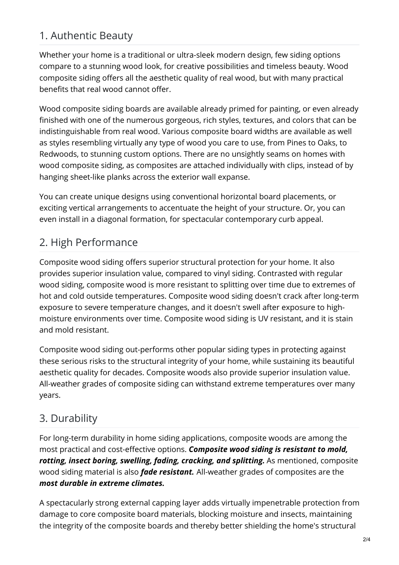## 1. Authentic Beauty

Whether your home is a traditional or ultra-sleek modern design, few siding options compare to a stunning wood look, for creative possibilities and timeless beauty. Wood composite siding offers all the aesthetic quality of real wood, but with many practical benefits that real wood cannot offer.

Wood composite siding boards are available already primed for painting, or even already finished with one of the numerous gorgeous, rich styles, textures, and colors that can be indistinguishable from real wood. Various composite board widths are available as well as styles resembling virtually any type of wood you care to use, from Pines to Oaks, to Redwoods, to stunning custom options. There are no unsightly seams on homes with wood composite siding, as composites are attached individually with clips, instead of by hanging sheet-like planks across the exterior wall expanse.

You can create unique designs using conventional horizontal board placements, or exciting vertical arrangements to accentuate the height of your structure. Or, you can even install in a diagonal formation, for spectacular contemporary curb appeal.

## 2. High Performance

Composite wood siding offers superior structural protection for your home. It also provides superior insulation value, compared to vinyl siding. Contrasted with regular wood siding, composite wood is more resistant to splitting over time due to extremes of hot and cold outside temperatures. Composite wood siding doesn't crack after long-term exposure to severe temperature changes, and it doesn't swell after exposure to highmoisture environments over time. Composite wood siding is UV resistant, and it is stain and mold resistant.

Composite wood siding out-performs other popular siding types in protecting against these serious risks to the structural integrity of your home, while sustaining its beautiful aesthetic quality for decades. Composite woods also provide superior insulation value. All-weather grades of composite siding can withstand extreme temperatures over many years.

## 3. Durability

For long-term durability in home siding applications, composite woods are among the most practical and cost-effective options. *Composite wood siding is resistant to mold, rotting, insect boring, swelling, fading, cracking, and splitting.* As mentioned, composite wood siding material is also *fade resistant.* All-weather grades of composites are the *most durable in extreme climates.*

A spectacularly strong external capping layer adds virtually impenetrable protection from damage to core composite board materials, blocking moisture and insects, maintaining the integrity of the composite boards and thereby better shielding the home's structural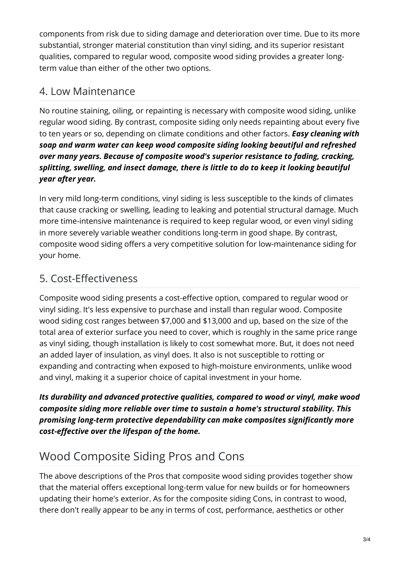components from risk due to siding damage and deterioration over time. Due to its more substantial, stronger material constitution than vinyl siding, and its superior resistant qualities, compared to regular wood, composite wood siding provides a greater longterm value than either of the other two options.

#### 4. Low Maintenance

No routine staining, oiling, or repainting is necessary with composite wood siding, unlike regular wood siding. By contrast, composite siding only needs repainting about every five to ten years or so, depending on climate conditions and other factors. *Easy cleaning with soap and warm water can keep wood composite siding looking beautiful and refreshed over many years. Because of composite wood's superior resistance to fading, cracking, splitting, swelling, and insect damage, there is little to do to keep it looking beautiful year after year.*

In very mild long-term conditions, vinyl siding is less susceptible to the kinds of climates that cause cracking or swelling, leading to leaking and potential structural damage. Much more time-intensive maintenance is required to keep regular wood, or even vinyl siding in more severely variable weather conditions long-term in good shape. By contrast, composite wood siding offers a very competitive solution for low-maintenance siding for your home.

## 5. Cost-Effectiveness

Composite wood siding presents a cost-effective option, compared to regular wood or vinyl siding. It's less expensive to purchase and install than regular wood. Composite wood siding cost ranges between \$7,000 and \$13,000 and up, based on the size of the total area of exterior surface you need to cover, which is roughly in the same price range as vinyl siding, though installation is likely to cost somewhat more. But, it does not need an added layer of insulation, as vinyl does. It also is not susceptible to rotting or expanding and contracting when exposed to high-moisture environments, unlike wood and vinyl, making it a superior choice of capital investment in your home.

*Its durability and advanced protective qualities, compared to wood or vinyl, make wood composite siding more reliable over time to sustain a home's structural stability. This promising long-term protective dependability can make composites significantly more cost-effective over the lifespan of the home.*

# Wood Composite Siding Pros and Cons

The above descriptions of the Pros that composite wood siding provides together show that the material offers exceptional long-term value for new builds or for homeowners updating their home's exterior. As for the composite siding Cons, in contrast to wood, there don't really appear to be any in terms of cost, performance, aesthetics or other